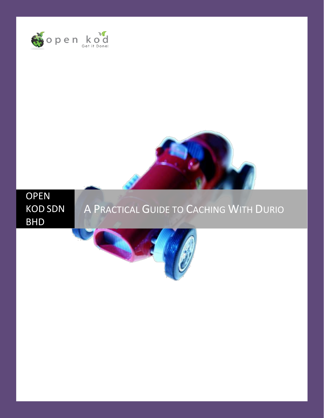





# A PRACTICAL GUIDE TO CACHING WITH DURIO

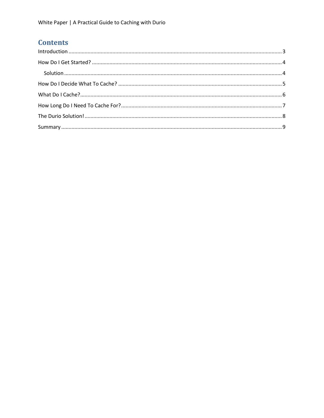## **Contents**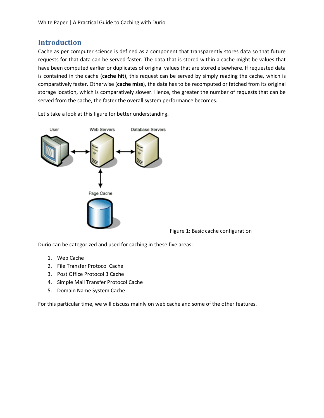## **Introduction**

<span id="page-2-0"></span>Cache as per computer science is defined as a component that transparently stores data so that future requests for that data can be served faster. The data that is stored within a cache might be values that have been computed earlier or duplicates of original values that are stored elsewhere. If requested data is contained in the cache (**cache hit**), this request can be served by simply reading the cache, which is comparatively faster. Otherwise (**cache miss**), the data has to be recomputed or fetched from its original storage location, which is comparatively slower. Hence, the greater the number of requests that can be served from the cache, the faster the overall system performance becomes.

Let's take a look at this figure for better understanding.



Figure 1: Basic cache configuration

Durio can be categorized and used for caching in these five areas:

- 1. Web Cache
- 2. File Transfer Protocol Cache
- 3. Post Office Protocol 3 Cache
- 4. Simple Mail Transfer Protocol Cache
- 5. Domain Name System Cache

For this particular time, we will discuss mainly on web cache and some of the other features.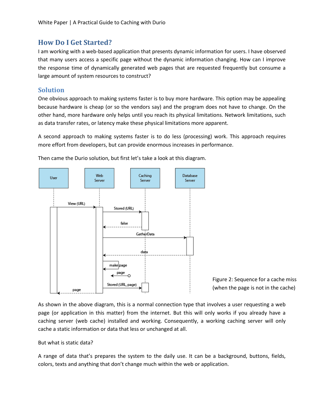#### **How Do I Get Started?**

<span id="page-3-0"></span>I am working with a web-based application that presents dynamic information for users. I have observed that many users access a specific page without the dynamic information changing. How can I improve the response time of dynamically generated web pages that are requested frequently but consume a large amount of system resources to construct?

#### <span id="page-3-1"></span>**Solution**

One obvious approach to making systems faster is to buy more hardware. This option may be appealing because hardware is cheap (or so the vendors say) and the program does not have to change. On the other hand, more hardware only helps until you reach its physical limitations. Network limitations, such as data transfer rates, or latency make these physical limitations more apparent.

A second approach to making systems faster is to do less (processing) work. This approach requires more effort from developers, but can provide enormous increases in performance.



Then came the Durio solution, but first let's take a look at this diagram.

Figure 2: Sequence for a cache miss (when the page is not in the cache)

As shown in the above diagram, this is a normal connection type that involves a user requesting a web page (or application in this matter) from the internet. But this will only works if you already have a caching server (web cache) installed and working. Consequently, a working caching server will only cache a static information or data that less or unchanged at all.

#### But what is static data?

A range of data that's prepares the system to the daily use. It can be a background, buttons, fields, colors, texts and anything that don't change much within the web or application.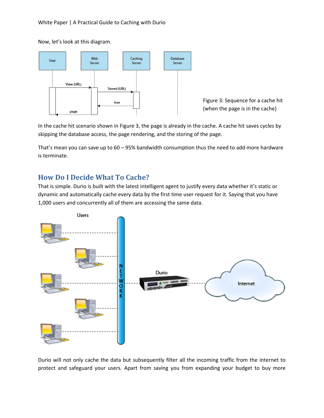Now, let's look at this diagram.



Figure 3: Sequence for a cache hit (when the page is in the cache)

In the cache hit scenario shown in Figure 3, the page is already in the cache. A cache hit saves cycles by skipping the database access, the page rendering, and the storing of the page.

That's mean you can save up to 60 – 95% bandwidth consumption thus the need to add more hardware is terminate.

## <span id="page-4-0"></span>**How Do I Decide What To Cache?**

That is simple. Durio is built with the latest intelligent agent to justify every data whether it's static or dynamic and automatically cache every data by the first time user request for it. Saying that you have 1,000 users and concurrently all of them are accessing the same data.



Durio will not only cache the data but subsequently filter all the incoming traffic from the internet to protect and safeguard your users. Apart from saving you from expanding your budget to buy more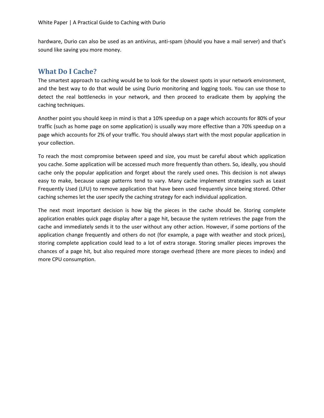hardware, Durio can also be used as an antivirus, anti-spam (should you have a mail server) and that's sound like saving you more money.

## <span id="page-5-0"></span>**What Do I Cache?**

The smartest approach to caching would be to look for the slowest spots in your network environment, and the best way to do that would be using Durio monitoring and logging tools. You can use those to detect the real bottlenecks in your network, and then proceed to eradicate them by applying the caching techniques.

Another point you should keep in mind is that a 10% speedup on a page which accounts for 80% of your traffic (such as home page on some application) is usually way more effective than a 70% speedup on a page which accounts for 2% of your traffic. You should always start with the most popular application in your collection.

To reach the most compromise between speed and size, you must be careful about which application you cache. Some application will be accessed much more frequently than others. So, ideally, you should cache only the popular application and forget about the rarely used ones. This decision is not always easy to make, because usage patterns tend to vary. Many cache implement strategies such as Least Frequently Used (LFU) to remove application that have been used frequently since being stored. Other caching schemes let the user specify the caching strategy for each individual application.

The next most important decision is how big the pieces in the cache should be. Storing complete application enables quick page display after a page hit, because the system retrieves the page from the cache and immediately sends it to the user without any other action. However, if some portions of the application change frequently and others do not (for example, a page with weather and stock prices), storing complete application could lead to a lot of extra storage. Storing smaller pieces improves the chances of a page hit, but also required more storage overhead (there are more pieces to index) and more CPU consumption.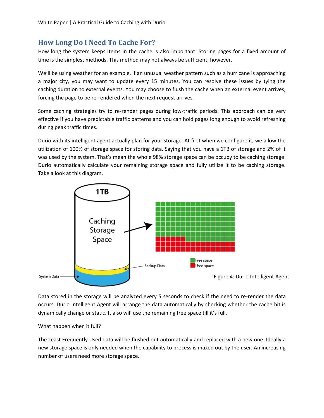## **How Long Do I Need To Cache For?**

<span id="page-6-0"></span>How long the system keeps items in the cache is also important. Storing pages for a fixed amount of time is the simplest methods. This method may not always be sufficient, however.

We'll be using weather for an example, if an unusual weather pattern such as a hurricane is approaching a major city, you may want to update every 15 minutes. You can resolve these issues by tying the caching duration to external events. You may choose to flush the cache when an external event arrives, forcing the page to be re-rendered when the next request arrives.

Some caching strategies try to re-render pages during low-traffic periods. This approach can be very effective if you have predictable traffic patterns and you can hold pages long enough to avoid refreshing during peak traffic times.

Durio with its intelligent agent actually plan for your storage. At first when we configure it, we allow the utilization of 100% of storage space for storing data. Saying that you have a 1TB of storage and 2% of it was used by the system. That's mean the whole 98% storage space can be occupy to be caching storage. Durio automatically calculate your remaining storage space and fully utilize it to be caching storage. Take a look at this diagram.



Data stored in the storage will be analyzed every 5 seconds to check if the need to re-render the data occurs. Durio Intelligent Agent will arrange the data automatically by checking whether the cache hit is dynamically change or static. It also will use the remaining free space till it's full.

#### What happen when it full?

The Least Frequently Used data will be flushed out automatically and replaced with a new one. Ideally a new storage space is only needed when the capability to process is maxed out by the user. An increasing number of users need more storage space.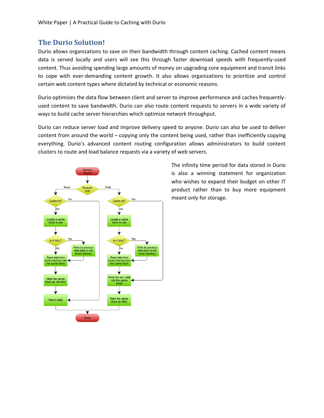## **The Durio Solution!**

<span id="page-7-0"></span>Durio allows organizations to save on their bandwidth through content caching. Cached content means data is served locally and users will see this through faster download speeds with frequently-used content. Thus avoiding spending large amounts of money on upgrading core equipment and transit links to cope with ever-demanding content growth. It also allows organizations to prioritize and control certain web content types where dictated by technical or economic reasons.

Durio optimizes the data flow between client and server to improve performance and caches frequentlyused content to save bandwidth. Durio can also route content requests to servers in a wide variety of ways to build cache server hierarchies which optimize network throughput.

Durio can reduce server load and improve delivery speed to anyone. Durio can also be used to deliver content from around the world – copying only the content being used, rather than inefficiently copying everything. Durio's advanced content routing configuration allows administrators to build content clusters to route and load balance requests via a variety of web servers.



The infinity time period for data stored in Durio is also a winning statement for organization who wishes to expand their budget on other IT product rather than to buy more equipment meant only for storage.